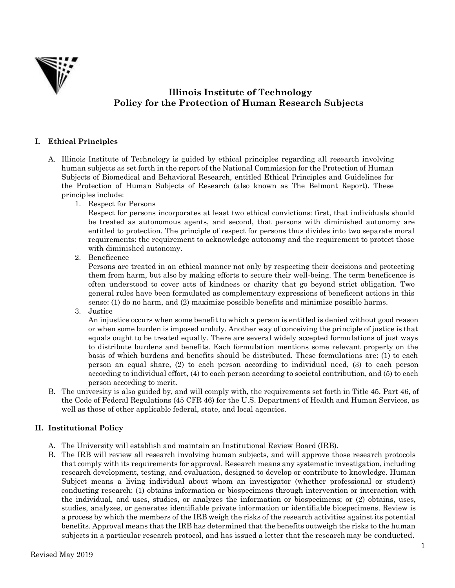

# **Illinois Institute of Technology Policy for the Protection of Human Research Subjects**

## **I. Ethical Principles**

- A. Illinois Institute of Technology is guided by ethical principles regarding all research involving human subjects as set forth in the report of the National Commission for the Protection of Human Subjects of Biomedical and Behavioral Research, entitled Ethical Principles and Guidelines for the Protection of Human Subjects of Research (also known as The Belmont Report). These principles include:
	- 1. Respect for Persons

Respect for persons incorporates at least two ethical convictions: first, that individuals should be treated as autonomous agents, and second, that persons with diminished autonomy are entitled to protection. The principle of respect for persons thus divides into two separate moral requirements: the requirement to acknowledge autonomy and the requirement to protect those with diminished autonomy.

2. Beneficence

Persons are treated in an ethical manner not only by respecting their decisions and protecting them from harm, but also by making efforts to secure their well-being. The term beneficence is often understood to cover acts of kindness or charity that go beyond strict obligation. Two general rules have been formulated as complementary expressions of beneficent actions in this sense: (1) do no harm, and (2) maximize possible benefits and minimize possible harms.

3. Justice

An injustice occurs when some benefit to which a person is entitled is denied without good reason or when some burden is imposed unduly. Another way of conceiving the principle of justice is that equals ought to be treated equally. There are several widely accepted formulations of just ways to distribute burdens and benefits. Each formulation mentions some relevant property on the basis of which burdens and benefits should be distributed. These formulations are: (1) to each person an equal share, (2) to each person according to individual need, (3) to each person according to individual effort, (4) to each person according to societal contribution, and (5) to each person according to merit.

B. The university is also guided by, and will comply with, the requirements set forth in Title 45, Part 46, of the Code of Federal Regulations (45 CFR 46) for the U.S. Department of Health and Human Services, as well as those of other applicable federal, state, and local agencies.

## **II. Institutional Policy**

- A. The University will establish and maintain an Institutional Review Board (IRB).
- B. The IRB will review all research involving human subjects, and will approve those research protocols that comply with its requirements for approval. Research means any systematic investigation, including research development, testing, and evaluation, designed to develop or contribute to knowledge. Human Subject means a living individual about whom an investigator (whether professional or student) conducting research: (1) obtains information or biospecimens through intervention or interaction with the individual, and uses, studies, or analyzes the information or biospecimens; or (2) obtains, uses, studies, analyzes, or generates identifiable private information or identifiable biospecimens. Review is a process by which the members of the IRB weigh the risks of the research activities against its potential benefits. Approval means that the IRB has determined that the benefits outweigh the risks to the human subjects in a particular research protocol, and has issued a letter that the research may be conducted.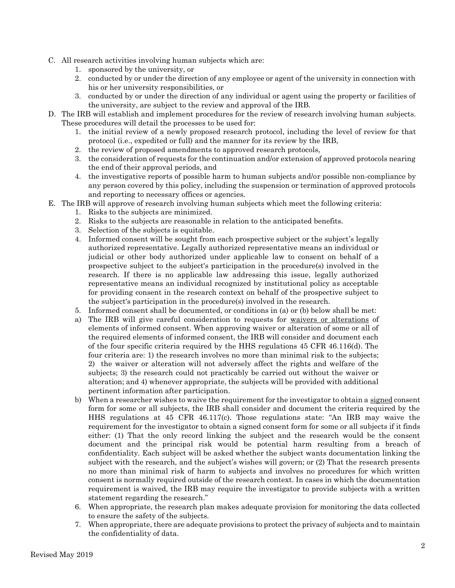- C. All research activities involving human subjects which are:
	- 1. sponsored by the university, or
	- 2. conducted by or under the direction of any employee or agent of the university in connection with his or her university responsibilities, or
	- 3. conducted by or under the direction of any individual or agent using the property or facilities of the university, are subject to the review and approval of the IRB.
- D. The IRB will establish and implement procedures for the review of research involving human subjects. These procedures will detail the processes to be used for:
	- 1. the initial review of a newly proposed research protocol, including the level of review for that protocol (i.e., expedited or full) and the manner for its review by the IRB,
	- 2. the review of proposed amendments to approved research protocols,
	- 3. the consideration of requests for the continuation and/or extension of approved protocols nearing the end of their approval periods, and
	- 4. the investigative reports of possible harm to human subjects and/or possible non-compliance by any person covered by this policy, including the suspension or termination of approved protocols and reporting to necessary offices or agencies.
- E. The IRB will approve of research involving human subjects which meet the following criteria:
	- 1. Risks to the subjects are minimized.
	- 2. Risks to the subjects are reasonable in relation to the anticipated benefits.
	- 3. Selection of the subjects is equitable.
	- 4. Informed consent will be sought from each prospective subject or the subject's legally authorized representative. Legally authorized representative means an individual or judicial or other body authorized under applicable law to consent on behalf of a prospective subject to the subject's participation in the procedure(s) involved in the research. If there is no applicable law addressing this issue, legally authorized representative means an individual recognized by institutional policy as acceptable for providing consent in the research context on behalf of the prospective subject to the subject's participation in the procedure(s) involved in the research.
	- 5. Informed consent shall be documented, or conditions in (a) or (b) below shall be met:
	- a) The IRB will give careful consideration to requests for waivers or alterations of elements of informed consent. When approving waiver or alteration of some or all of the required elements of informed consent, the IRB will consider and document each of the four specific criteria required by the HHS regulations 45 CFR 46.116(d). The four criteria are: 1) the research involves no more than minimal risk to the subjects; 2) the waiver or alteration will not adversely affect the rights and welfare of the subjects; 3) the research could not practicably be carried out without the waiver or alteration; and 4) whenever appropriate, the subjects will be provided with additional pertinent information after participation.
	- b) When a researcher wishes to waive the requirement for the investigator to obtain a signed consent form for some or all subjects, the IRB shall consider and document the criteria required by the HHS regulations at 45 CFR 46.117(c). Those regulations state: "An IRB may waive the requirement for the investigator to obtain a signed consent form for some or all subjects if it finds either: (1) That the only record linking the subject and the research would be the consent document and the principal risk would be potential harm resulting from a breach of confidentiality. Each subject will be asked whether the subject wants documentation linking the subject with the research, and the subject's wishes will govern; or (2) That the research presents no more than minimal risk of harm to subjects and involves no procedures for which written consent is normally required outside of the research context. In cases in which the documentation requirement is waived, the IRB may require the investigator to provide subjects with a written statement regarding the research."
	- 6. When appropriate, the research plan makes adequate provision for monitoring the data collected to ensure the safety of the subjects.
	- 7. When appropriate, there are adequate provisions to protect the privacy of subjects and to maintain the confidentiality of data.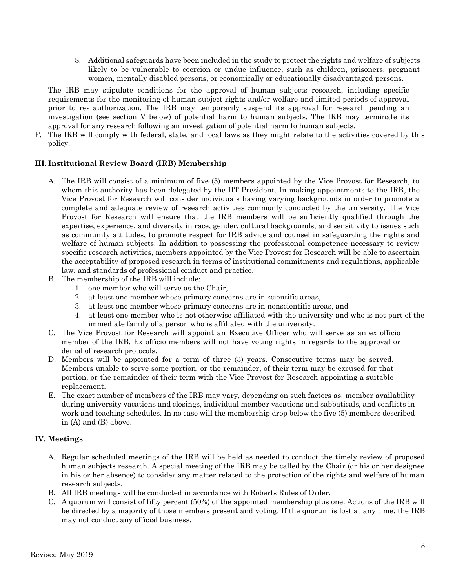8. Additional safeguards have been included in the study to protect the rights and welfare of subjects likely to be vulnerable to coercion or undue influence, such as children, prisoners, pregnant women, mentally disabled persons, or economically or educationally disadvantaged persons.

The IRB may stipulate conditions for the approval of human subjects research, including specific requirements for the monitoring of human subject rights and/or welfare and limited periods of approval prior to re- authorization. The IRB may temporarily suspend its approval for research pending an investigation (see section V below) of potential harm to human subjects. The IRB may terminate its approval for any research following an investigation of potential harm to human subjects.

F. The IRB will comply with federal, state, and local laws as they might relate to the activities covered by this policy.

## **III. Institutional Review Board (IRB) Membership**

- A. The IRB will consist of a minimum of five (5) members appointed by the Vice Provost for Research, to whom this authority has been delegated by the IIT President. In making appointments to the IRB, the Vice Provost for Research will consider individuals having varying backgrounds in order to promote a complete and adequate review of research activities commonly conducted by the university. The Vice Provost for Research will ensure that the IRB members will be sufficiently qualified through the expertise, experience, and diversity in race, gender, cultural backgrounds, and sensitivity to issues such as community attitudes, to promote respect for IRB advice and counsel in safeguarding the rights and welfare of human subjects. In addition to possessing the professional competence necessary to review specific research activities, members appointed by the Vice Provost for Research will be able to ascertain the acceptability of proposed research in terms of institutional commitments and regulations, applicable law, and standards of professional conduct and practice.
- B. The membership of the IRB will include:
	- 1. one member who will serve as the Chair,
	- 2. at least one member whose primary concerns are in scientific areas,
	- 3. at least one member whose primary concerns are in nonscientific areas, and
	- 4. at least one member who is not otherwise affiliated with the university and who is not part of the immediate family of a person who is affiliated with the university.
- C. The Vice Provost for Research will appoint an Executive Officer who will serve as an ex officio member of the IRB. Ex officio members will not have voting rights in regards to the approval or denial of research protocols.
- D. Members will be appointed for a term of three (3) years. Consecutive terms may be served. Members unable to serve some portion, or the remainder, of their term may be excused for that portion, or the remainder of their term with the Vice Provost for Research appointing a suitable replacement.
- E. The exact number of members of the IRB may vary, depending on such factors as: member availability during university vacations and closings, individual member vacations and sabbaticals, and conflicts in work and teaching schedules. In no case will the membership drop below the five (5) members described in (A) and (B) above.

#### **IV. Meetings**

- A. Regular scheduled meetings of the IRB will be held as needed to conduct the timely review of proposed human subjects research. A special meeting of the IRB may be called by the Chair (or his or her designee in his or her absence) to consider any matter related to the protection of the rights and welfare of human research subjects.
- B. All IRB meetings will be conducted in accordance with Roberts Rules of Order.
- C. A quorum will consist of fifty percent (50%) of the appointed membership plus one. Actions of the IRB will be directed by a majority of those members present and voting. If the quorum is lost at any time, the IRB may not conduct any official business.